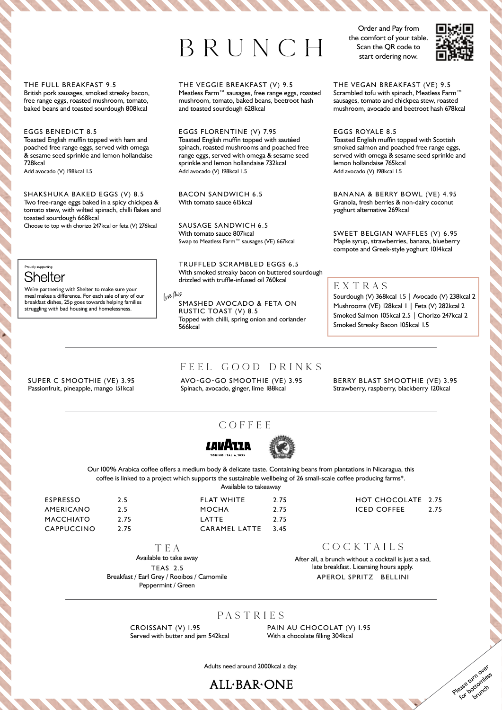# BRUNCH

Order and Pay from the comfort of your table. Scan the QR code to start ordering now.



#### THE FULL BREAKFAST 9.5

British pork sausages, smoked streaky bacon, free range eggs, roasted mushroom, tomato, baked beans and toasted sourdough 808kcal

#### EGGS BENEDICT 8.5

Toasted English muffin topped with ham and poached free range eggs, served with omega & sesame seed sprinkle and lemon hollandaise 728kcal

Add avocado (V) 198kcal 1.5

## SHAKSHUKA BAKED EGGS (V) 8.5

Two free-range eggs baked in a spicy chickpea & tomato stew, with wilted spinach, chilli flakes and toasted sourdough 668kcal

Choose to top with chorizo 247kcal or feta (V) 276kcal

## **Drough eupporting Shelter**

We're partnering with Shelter to make sure your meal makes a difference. For each sale of any of our breakfast dishes, 25p goes towards helping families struggling with bad housing and homelessness.

SUPER C SMOOTHIE (VE) 3.95 Passionfruit, pineapple, mango 151 kcal

## THE VEGGIE BREAKFAST (V) 9.5

Meatless Farm™ sausages, free range eggs, roasted mushroom, tomato, baked beans, beetroot hash and toasted sourdough 628kcal

EGGS FLORENTINE (V) 7.95 Toasted English muffin topped with sautéed spinach, roasted mushrooms and poached free range eggs, served with omega & sesame seed sprinkle and lemon hollandaise 732kcal Add avocado (V) 198kcal 1.5

BACON SANDWICH 6.5 With tomato sauce 615kcal

SAUSAGE SANDWICH 6.5 With tomato sauce 807kcal Swap to Meatless Farm™ sausages (VE) 667kcal

TRUFFLED SCRAMBLED EGGS 6.5 With smoked streaky bacon on buttered sourdough drizzled with truffle-infused oil 760kcal

Lov<sup>e</sup> thi<sup>s</sup>

SMASHED AVOCADO & FETA ON RUSTIC TOAST (V) 8.5 Topped with chilli, spring onion and coriander 566kcal

THE VEGAN BREAKFAST (VE) 9.5 Scrambled tofu with spinach, Meatless Farm™ sausages, tomato and chickpea stew, roasted mushroom, avocado and beetroot hash 678kcal

EGGS ROYALE 8.5 Toasted English muffin topped with Scottish smoked salmon and poached free range eggs, served with omega & sesame seed sprinkle and lemon hollandaise 765kcal Add avocado (V) 198kcal 1.5

BANANA & BERRY BOWL (VE) 4.95 Granola, fresh berries & non-dairy coconut yoghurt alternative 269kcal

SWEET BELGIAN WAFFLES (V) 6.95 Maple syrup, strawberries, banana, blueberry compote and Greek-style yoghurt 1014kcal

## EXTRAS

Sourdough (V) 368kcal 1.5 | Avocado (V) 238kcal 2 Mushrooms (VE) 128kcal 1 | Feta (V) 282kcal 2 Smoked Salmon 105kcal 2.5 | Chorizo 247kcal 2 Smoked Streaky Bacon 105kcal 1.5

# FEEL GOOD DRINKS

AVO-GO-GO SMOOTHIE (VE) 3.95 Spinach, avocado, ginger, lime 188kcal

BERRY BLAST SMOOTHIE (VE) 3.95 Strawberry, raspberry, blackberry 120kcal

# COFFEE COFFEE





coffee is linked to a project which supports the sustainable wellbeing of 26 small-scale coffee producing farms\*. Our 100% Arabica coffee offers a medium body & delicate taste. Containing beans from plantations in Nicaragua, this Available to takeaway

| ESPRESSO   | 2.5 |
|------------|-----|
| AMERICANO  | 2.5 |
| MACCHIATO  | 2.7 |
| CAPPUCCINO | 2.7 |
|            |     |

MACCHINE COMPANY PLAN  $\overline{a}$ FLAT WHITE 2.75 MOCHA 2.75 LATTE 2.75 CARAMEL LATTE 3.45

5
HOT CHOCOLATE
2.75 HOT CHOCOLATE 2.75 ICED COFFEE 2.75

> Please turn over for bottomless

## TEA TEA

2.75 2.75

Available to take away Available to take away TEAS 2.5 TEAS 2.5 Breakfast / Earl Grey / Rooibos / Camomile Breakfast / Earl Grey / Rooibos / Camomile Peppermint / Green Peppermint / Green

COCKTAILS COCKTAILS

After all, a brunch without a cocktail is just a sad, After all, a brunch without a cocktail is just a sad, late breakfast. Licensing hours apply. late breakfast. Licensing hours apply. APEROL SPRITZ BELLINI APEROL SPRITZ BELLINI

# PASTR IE S

CROISSANT (V) 1.95 Served with butter and jam 542kcal PAIN AU CHOCOLAT (V) 1.95 With a chocolate filling 304kcal

Adults need around 2000kcal a day.

**ALL.BAR.ONE**